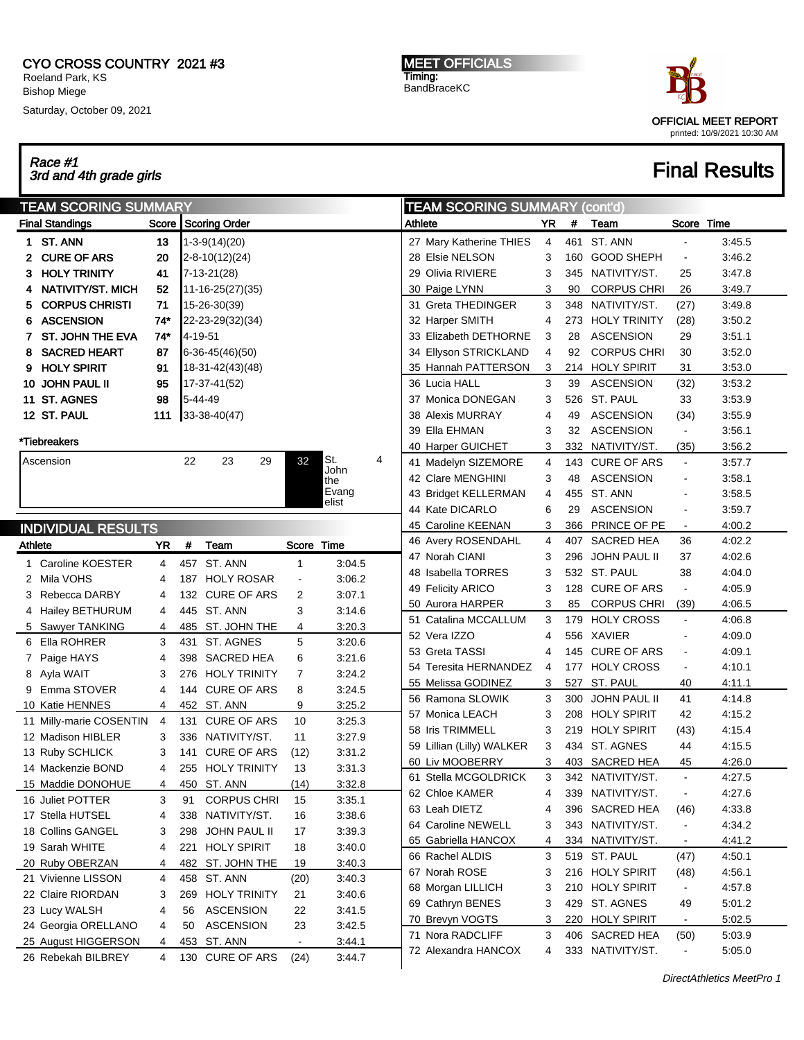### CYO CROSS COUNTRY 2021 #3 Roeland Park, KS Bishop Miege

Saturday, October 09, 2021

Race #1

MEET OFFICIALS Timing: BandBraceKC



## $\frac{1}{3}$ Race #1  $\frac{1}{3}$   $\frac{1}{3}$   $\frac{1}{3}$   $\frac{1}{3}$   $\frac{1}{3}$   $\frac{1}{3}$   $\frac{1}{3}$   $\frac{1}{3}$   $\frac{1}{3}$   $\frac{1}{3}$   $\frac{1}{3}$   $\frac{1}{3}$   $\frac{1}{3}$   $\frac{1}{3}$   $\frac{1}{3}$   $\frac{1}{3}$   $\frac{1}{3}$   $\frac{1}{3}$   $\frac{1}{3}$   $\frac{1}{3}$   $\frac{$

#### TEAM SCORING SUMMARY Final Standings Score Scoring Order 1 ST. ANN 13 1-3-9(14)(20) 2 CURE OF ARS 20 2-8-10(12)(24) **3 HOLY TRINITY** 41 | 7-13-21(28) 4 NATIVITY/ST. MICH 52 11-16-25(27)(35) 5 CORPUS CHRISTI 71 15-26-30(39) 6 ASCENSION 74\* 22-23-29(32)(34) **7 ST. JOHN THE EVA 74\*** 4-19-51 8 SACRED HEART 87 6-36-45(46)(50) 9 HOLY SPIRIT 91 18-31-42(43)(48) 10 JOHN PAUL II 95 17-37-41(52) **11 ST. AGNES** 98 5-44-49 12 ST. PAUL 111 33-38-40(47) \*Tiebreakers Ascension 22 23 29 32 St. John the Evang elist 4 INDIVIDUAL RESULTS Athlete **YR** # Team Score Time 1 Caroline KOESTER 4 457 ST. ANN 1 3:04.5 2 Mila VOHS 4 187 HOLY ROSAR - 3:06.2 3 Rebecca DARBY 4 132 CURE OF ARS 2 3:07.1 4 Hailey BETHURUM 4 445 ST. ANN 3 3:14.6 5 Sawyer TANKING 4 485 ST. JOHN THE 4 3:20.3 6 Ella ROHRER 3 431 ST. AGNES 5 3:20.6 7 Paige HAYS 4 398 SACRED HEA 6 3:21.6 8 Ayla WAIT 3 276 HOLY TRINITY 7 3:24.2 9 Emma STOVER 4 144 CURE OF ARS 8 3:24.5 10 Katie HENNES 4 452 ST. ANN 9 3:25.2 11 Milly-marie COSENTIN 4 131 CURE OF ARS 10 3:25.3 12 Madison HIBLER 3 336 NATIVITY/ST. 11 3:27.9 13 Ruby SCHLICK 3 141 CURE OF ARS (12) 3:31.2 14 Mackenzie BOND 4 255 HOLY TRINITY 13 3:31.3 15 Maddie DONOHUE 4 450 ST. ANN (14) 3:32.8 16 Juliet POTTER 3 91 CORPUS CHRI 15 3:35.1 17 Stella HUTSEL 4 338 NATIVITY/ST. 16 3:38.6 18 Collins GANGEL 3 298 JOHN PAUL II 17 3:39.3 19 Sarah WHITE 4 221 HOLY SPIRIT 18 3:40.0 20 Ruby OBERZAN 4 482 ST. JOHN THE 19 3:40.3 21 Vivienne LISSON 4 458 ST. ANN (20) 3:40.3 22 Claire RIORDAN 3 269 HOLY TRINITY 21 3:40.6 23 Lucy WALSH 4 56 ASCENSION 22 3:41.5 24 Georgia ORELLANO 4 50 ASCENSION 23 3:42.5 25 August HIGGERSON 4 453 ST. ANN - 3:44.1 26 Rebekah BILBREY 4 130 CURE OF ARS (24) 3:44.7 TEAM SCORING SUMMARY (cont'd) Athlete **XX TEAM** Team Score Time 27 Mary Katherine THIES 4 461 ST. ANN - 3:45.5 28 Elsie NELSON 3 160 GOOD SHEPH - 3:46.2 29 Olivia RIVIERE 3 345 NATIVITY/ST. 25 3:47.8 30 Paige LYNN 3 90 CORPUS CHRI 26 3:49.7 31 Greta THEDINGER 3 348 NATIVITY/ST. (27) 3:49.8 32 Harper SMITH 4 273 HOLY TRINITY (28) 3:50.2 33 Elizabeth DETHORNE 3 28 ASCENSION 29 3:51.1 34 Ellyson STRICKLAND 4 92 CORPUS CHRI 30 3:52.0 35 Hannah PATTERSON 3 214 HOLY SPIRIT 31 3:53.0 36 Lucia HALL 3 39 ASCENSION (32) 3:53.2 37 Monica DONEGAN 3 526 ST. PAUL 33 3:53.9 38 Alexis MURRAY 4 49 ASCENSION (34) 3:55.9 39 Ella EHMAN 3 32 ASCENSION - 3:56.1 40 Harper GUICHET 3 332 NATIVITY/ST. (35) 3:56.2 41 Madelyn SIZEMORE 4 143 CURE OF ARS - 3:57.7 42 Clare MENGHINI 3 48 ASCENSION - 3:58.1 43 Bridget KELLERMAN 4 455 ST. ANN - 3:58.5 44 Kate DICARLO 6 29 ASCENSION - 3:59.7 45 Caroline KEENAN 3 366 PRINCE OF PE - 4:00.2 46 Avery ROSENDAHL 4 407 SACRED HEA 36 4:02.2 47 Norah CIANI 3 296 JOHN PAUL II 37 4:02.6 48 Isabella TORRES 3 532 ST. PAUL 38 4:04.0 49 Felicity ARICO 3 128 CURE OF ARS - 4:05.9 50 Aurora HARPER 3 85 CORPUS CHRI (39) 4:06.5 51 Catalina MCCALLUM 3 179 HOLY CROSS - 4:06.8 52 Vera IZZO 4 556 XAVIER - 4:09.0 53 Greta TASSI 4 145 CURE OF ARS 4:09.1 54 Teresita HERNANDEZ 4 177 HOLY CROSS - 4:10.1 55 Melissa GODINEZ 3 527 ST. PAUL 40 4:11.1 56 Ramona SLOWIK 3 300 JOHN PAUL II 41 4:14.8 57 Monica LEACH 3 208 HOLY SPIRIT 42 4:15.2 58 Iris TRIMMELL 3 219 HOLY SPIRIT (43) 4:15.4 59 Lillian (Lilly) WALKER 3 434 ST. AGNES 44 4:15.5 60 Liv MOOBERRY 3 403 SACRED HEA 45 4:26.0 61 Stella MCGOLDRICK 3 342 NATIVITY/ST. - 4:27.5 62 Chloe KAMER 4 339 NATIVITY/ST. - 4:27.6 63 Leah DIETZ 4 396 SACRED HEA (46) 4:33.8 64 Caroline NEWELL 3 343 NATIVITY/ST. - 4:34.2 65 Gabriella HANCOX 4 334 NATIVITY/ST. - 4:41.2 66 Rachel ALDIS 3 519 ST. PAUL (47) 4:50.1 67 Norah ROSE 3 216 HOLY SPIRIT (48) 4:56.1 68 Morgan LILLICH 3 210 HOLY SPIRIT - 4:57.8 69 Cathryn BENES 3 429 ST. AGNES 49 5:01.2 70 Brevyn VOGTS 3 220 HOLY SPIRIT - 5:02.5 71 Nora RADCLIFF 3 406 SACRED HEA (50) 5:03.9 72 Alexandra HANCOX 4 333 NATIVITY/ST. - 5:05.0

DirectAthletics MeetPro 1